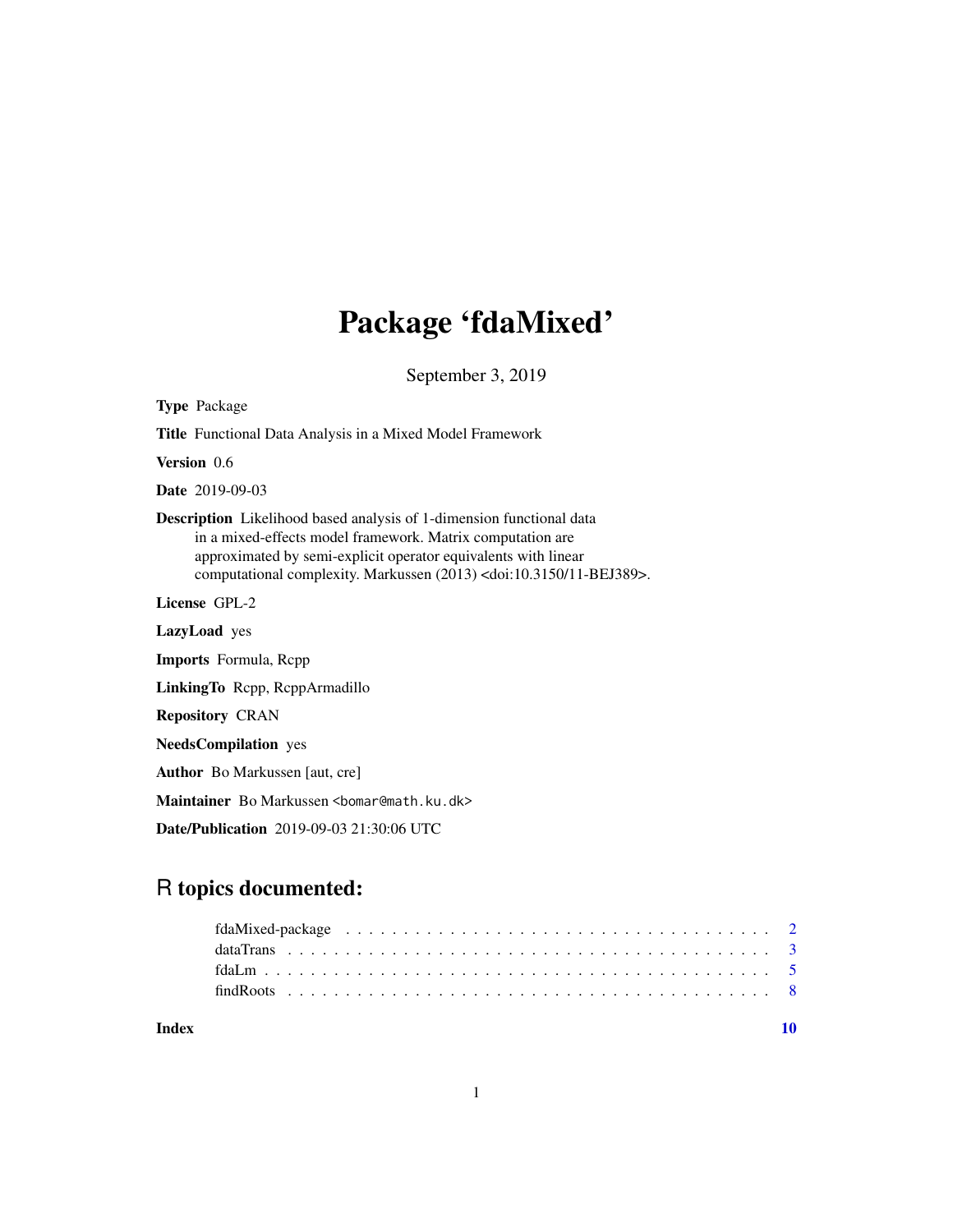# Package 'fdaMixed'

September 3, 2019

| <b>Type Package</b>                                                                                                                                                                                                                                                                                 |  |
|-----------------------------------------------------------------------------------------------------------------------------------------------------------------------------------------------------------------------------------------------------------------------------------------------------|--|
| <b>Title</b> Functional Data Analysis in a Mixed Model Framework                                                                                                                                                                                                                                    |  |
| Version 0.6                                                                                                                                                                                                                                                                                         |  |
| <b>Date</b> 2019-09-03                                                                                                                                                                                                                                                                              |  |
| <b>Description</b> Likelihood based analysis of 1-dimension functional data<br>in a mixed-effects model framework. Matrix computation are<br>approximated by semi-explicit operator equivalents with linear<br>computational complexity. Markussen (2013) <doi:10.3150 11-bej389="">.</doi:10.3150> |  |
| License GPL-2                                                                                                                                                                                                                                                                                       |  |
| LazyLoad yes                                                                                                                                                                                                                                                                                        |  |
| <b>Imports</b> Formula, Repp                                                                                                                                                                                                                                                                        |  |
| LinkingTo Repp, ReppArmadillo                                                                                                                                                                                                                                                                       |  |
| <b>Repository CRAN</b>                                                                                                                                                                                                                                                                              |  |
| <b>NeedsCompilation</b> yes                                                                                                                                                                                                                                                                         |  |
| <b>Author</b> Bo Markussen [aut, cre]                                                                                                                                                                                                                                                               |  |
| Maintainer Bo Markussen<br>lomar@math.ku.dk>                                                                                                                                                                                                                                                        |  |
| <b>Date/Publication</b> 2019-09-03 21:30:06 UTC                                                                                                                                                                                                                                                     |  |

# R topics documented:

| Index |  |
|-------|--|

1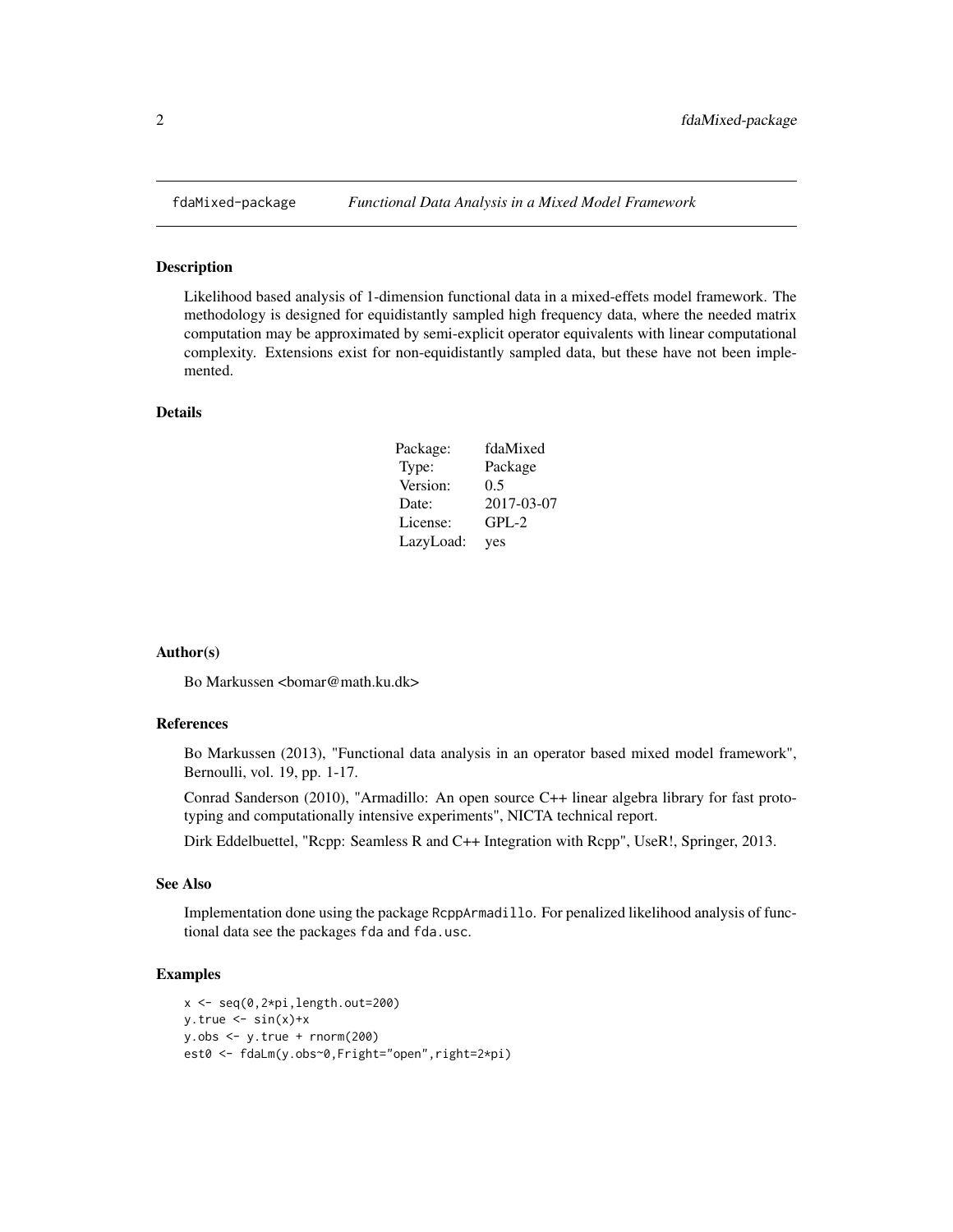<span id="page-1-0"></span>

#### Description

Likelihood based analysis of 1-dimension functional data in a mixed-effets model framework. The methodology is designed for equidistantly sampled high frequency data, where the needed matrix computation may be approximated by semi-explicit operator equivalents with linear computational complexity. Extensions exist for non-equidistantly sampled data, but these have not been implemented.

#### Details

| Package:  | fdaMixed   |
|-----------|------------|
| Type:     | Package    |
| Version:  | 0.5        |
| Date:     | 2017-03-07 |
| License:  | $GPL-2$    |
| LazyLoad: | yes        |

#### Author(s)

Bo Markussen <bomar@math.ku.dk>

#### References

Bo Markussen (2013), "Functional data analysis in an operator based mixed model framework", Bernoulli, vol. 19, pp. 1-17.

Conrad Sanderson (2010), "Armadillo: An open source C++ linear algebra library for fast prototyping and computationally intensive experiments", NICTA technical report.

Dirk Eddelbuettel, "Rcpp: Seamless R and C++ Integration with Rcpp", UseR!, Springer, 2013.

# See Also

Implementation done using the package RcppArmadillo. For penalized likelihood analysis of functional data see the packages fda and fda.usc.

# Examples

```
x \leftarrow \text{seq}(0, 2 \times \text{pi}, \text{length}.\text{out}=200)y.true \leq -\sin(x)+xy.obs < -y.true + rnorm(200)est0 <- fdaLm(y.obs~0,Fright="open",right=2*pi)
```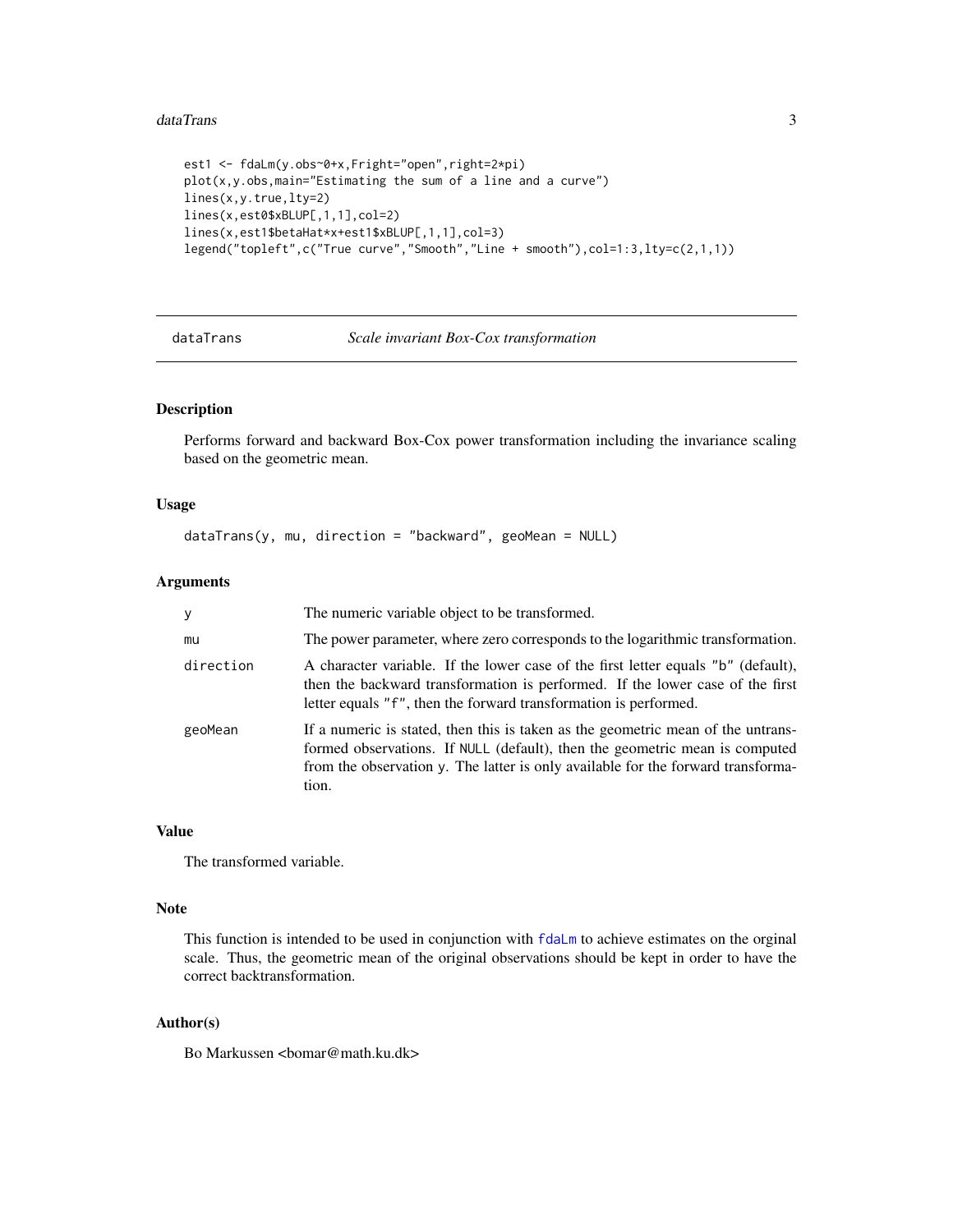#### <span id="page-2-0"></span>dataTrans 3

```
est1 <- fdaLm(y.obs~0+x,Fright="open",right=2*pi)
plot(x, y.obs, main="Estimating the sum of a line and a curve")lines(x,y.true,lty=2)
lines(x,est0$xBLUP[,1,1],col=2)
lines(x,est1$betaHat*x+est1$xBLUP[,1,1],col=3)
legend("topleft",c("True curve","Smooth","Line + smooth"),col=1:3,lty=c(2,1,1))
```
<span id="page-2-1"></span>dataTrans *Scale invariant Box-Cox transformation*

# Description

Performs forward and backward Box-Cox power transformation including the invariance scaling based on the geometric mean.

# Usage

```
dataTrans(y, mu, direction = "backward", geoMean = NULL)
```
# Arguments

| y         | The numeric variable object to be transformed.                                                                                                                                                                                                               |
|-----------|--------------------------------------------------------------------------------------------------------------------------------------------------------------------------------------------------------------------------------------------------------------|
| mu        | The power parameter, where zero corresponds to the logarithmic transformation.                                                                                                                                                                               |
| direction | A character variable. If the lower case of the first letter equals "b" (default),<br>then the backward transformation is performed. If the lower case of the first<br>letter equals "f", then the forward transformation is performed.                       |
| geoMean   | If a numeric is stated, then this is taken as the geometric mean of the untrans-<br>formed observations. If NULL (default), then the geometric mean is computed<br>from the observation y. The latter is only available for the forward transforma-<br>tion. |

# Value

The transformed variable.

# Note

This function is intended to be used in conjunction with  $fdaLm$  to achieve estimates on the orginal scale. Thus, the geometric mean of the original observations should be kept in order to have the correct backtransformation.

# Author(s)

Bo Markussen <br/> <br/> <br/> <br/> <br/>
So Markussen <br/> <br/> <br/> <br/> <br/> <br/> <br/> <br/> <br/> <br/> <br/> <br/> <br/> $\frac{1}{2}$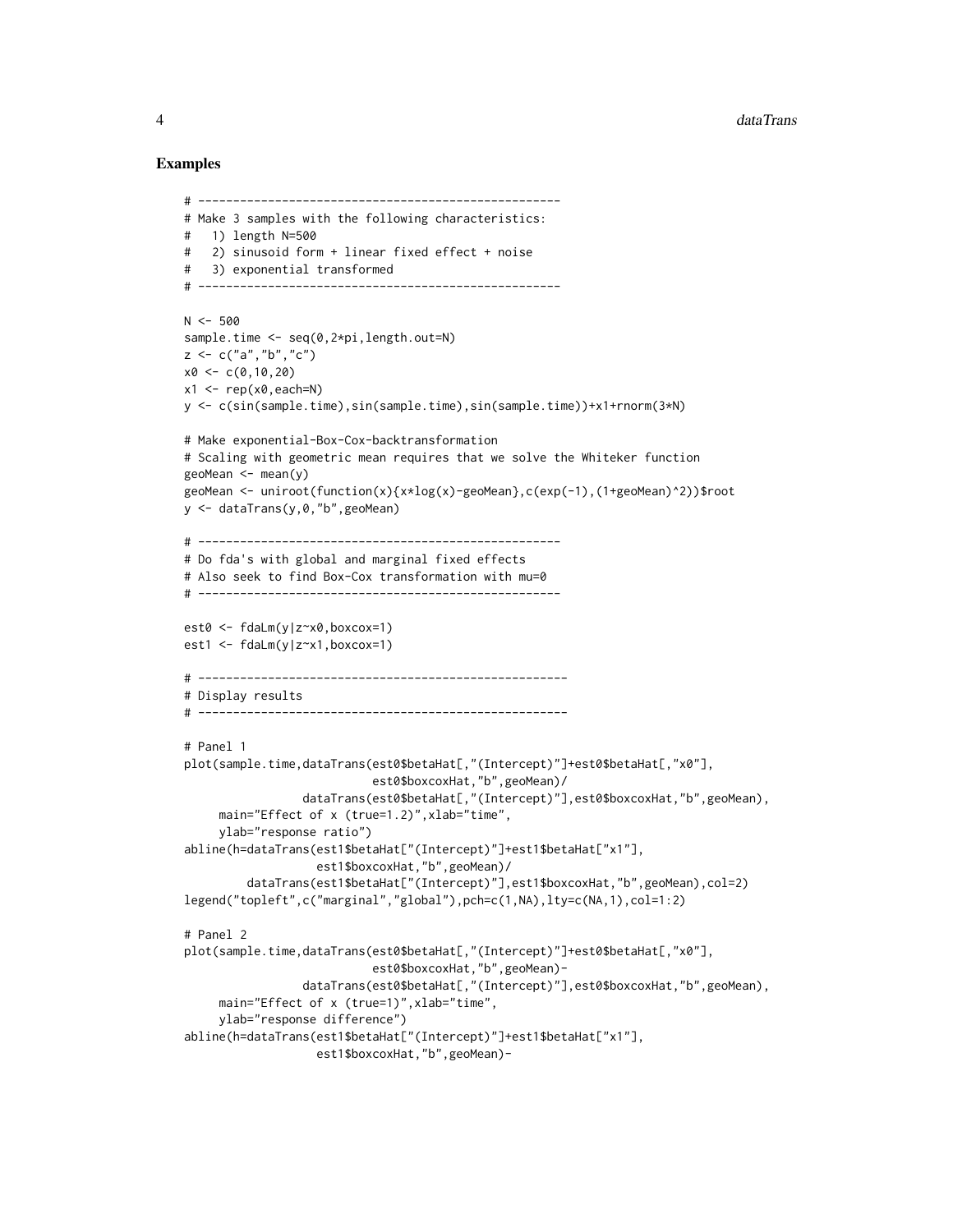#### Examples

```
# ----------------------------------------------------
# Make 3 samples with the following characteristics:
# 1) length N=500
# 2) sinusoid form + linear fixed effect + noise
# 3) exponential transformed
# ----------------------------------------------------
N < -500sample.time <- seq(0,2*pi,length.out=N)
z < -c("a", "b", "c")x0 \leq -c(0,10,20)x1 \leq -\text{rep}(x0, \text{each=N})y <- c(sin(sample.time),sin(sample.time),sin(sample.time))+x1+rnorm(3*N)
# Make exponential-Box-Cox-backtransformation
# Scaling with geometric mean requires that we solve the Whiteker function
geoMean \leq mean(y)
geoMean <- uniroot(function(x){x*log(x)-geoMean},c(exp(-1),(1+geoMean)^2))$root
y <- dataTrans(y,0,"b",geoMean)
# ----------------------------------------------------
# Do fda's with global and marginal fixed effects
# Also seek to find Box-Cox transformation with mu=0
# ----------------------------------------------------
est0 <- fdaLm(y|z~x0,boxcox=1)
est1 <- fdaLm(y|z~x1,boxcox=1)
# -----------------------------------------------------
# Display results
# -----------------------------------------------------
# Panel 1
plot(sample.time,dataTrans(est0$betaHat[,"(Intercept)"]+est0$betaHat[,"x0"],
                           est0$boxcoxHat,"b",geoMean)/
                 dataTrans(est0$betaHat[,"(Intercept)"],est0$boxcoxHat,"b",geoMean),
     main="Effect of x (true=1.2)", xlab="time",
     ylab="response ratio")
abline(h=dataTrans(est1$betaHat["(Intercept)"]+est1$betaHat["x1"],
                   est1$boxcoxHat,"b",geoMean)/
         dataTrans(est1$betaHat["(Intercept)"],est1$boxcoxHat,"b",geoMean),col=2)
legend("topleft",c("marginal","global"),pch=c(1,NA),lty=c(NA,1),col=1:2)
# Panel 2
plot(sample.time,dataTrans(est0$betaHat[,"(Intercept)"]+est0$betaHat[,"x0"],
                           est0$boxcoxHat,"b",geoMean)-
                 dataTrans(est0$betaHat[,"(Intercept)"],est0$boxcoxHat,"b",geoMean),
     main="Effect of x (true=1)", xlab="time",
     ylab="response difference")
abline(h=dataTrans(est1$betaHat["(Intercept)"]+est1$betaHat["x1"],
                   est1$boxcoxHat,"b",geoMean)-
```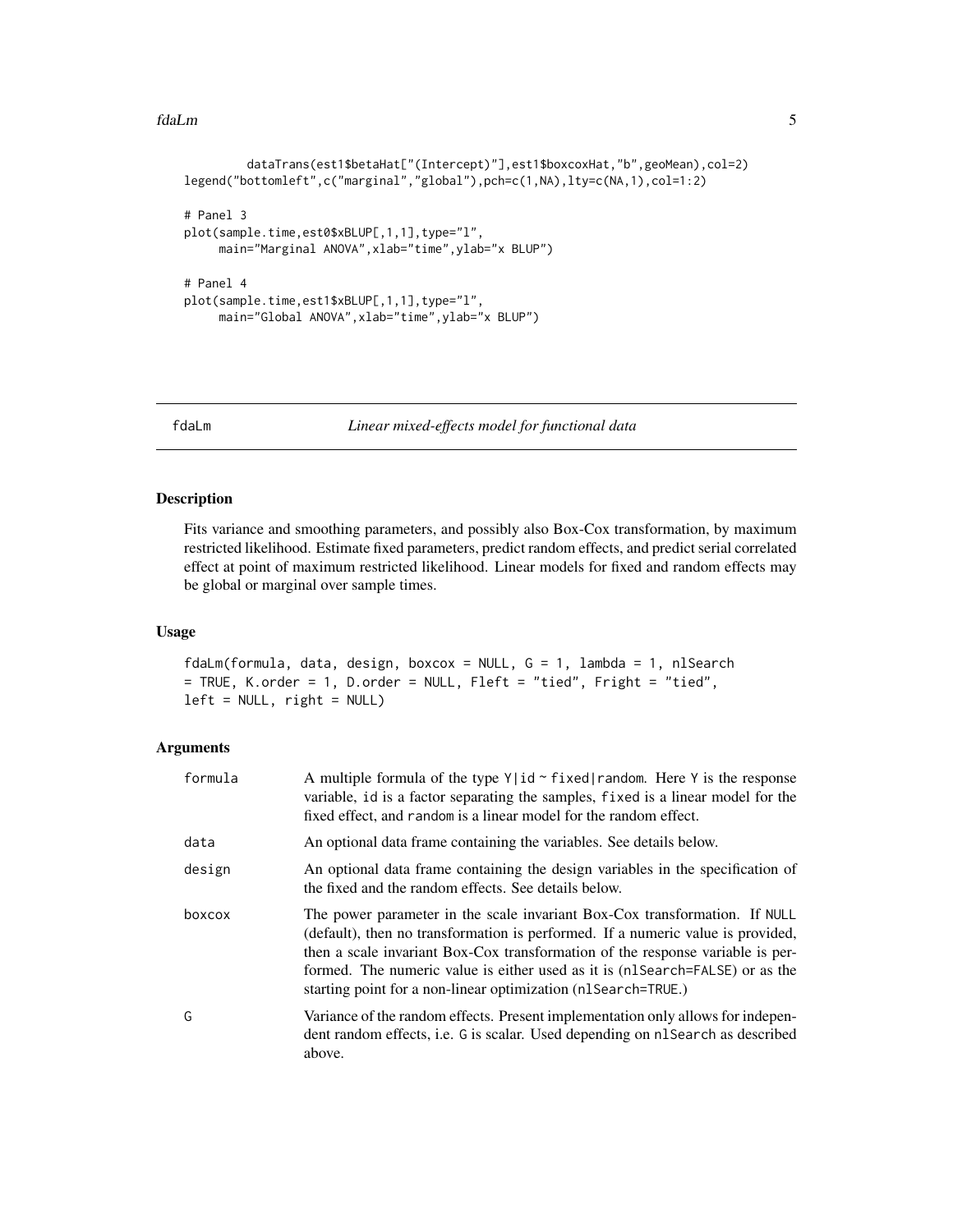#### <span id="page-4-0"></span>fdaLm 5

```
dataTrans(est1$betaHat["(Intercept)"],est1$boxcoxHat,"b",geoMean),col=2)
legend("bottomleft",c("marginal","global"),pch=c(1,NA),lty=c(NA,1),col=1:2)
# Panel 3
plot(sample.time,est0$xBLUP[,1,1],type="l",
    main="Marginal ANOVA", xlab="time", ylab="x BLUP")
# Panel 4
plot(sample.time,est1$xBLUP[,1,1],type="l",
    main="Global ANOVA",xlab="time",ylab="x BLUP")
```
<span id="page-4-1"></span>fdaLm *Linear mixed-effects model for functional data*

#### Description

Fits variance and smoothing parameters, and possibly also Box-Cox transformation, by maximum restricted likelihood. Estimate fixed parameters, predict random effects, and predict serial correlated effect at point of maximum restricted likelihood. Linear models for fixed and random effects may be global or marginal over sample times.

#### Usage

fdaLm(formula, data, design, boxcox = NULL, G = 1, lambda = 1, nlSearch = TRUE, K.order = 1, D.order = NULL, Fleft = "tied", Fright = "tied",  $left = NULL$ , right = NULL)

## Arguments

| formula | A multiple formula of the type $Y id \sim fixed$   random. Here Y is the response<br>variable, id is a factor separating the samples, fixed is a linear model for the<br>fixed effect, and random is a linear model for the random effect.                                                                                                                                                        |
|---------|---------------------------------------------------------------------------------------------------------------------------------------------------------------------------------------------------------------------------------------------------------------------------------------------------------------------------------------------------------------------------------------------------|
| data    | An optional data frame containing the variables. See details below.                                                                                                                                                                                                                                                                                                                               |
| design  | An optional data frame containing the design variables in the specification of<br>the fixed and the random effects. See details below.                                                                                                                                                                                                                                                            |
| boxcox  | The power parameter in the scale invariant Box-Cox transformation. If NULL<br>(default), then no transformation is performed. If a numeric value is provided,<br>then a scale invariant Box-Cox transformation of the response variable is per-<br>formed. The numeric value is either used as it is (nl Search=FALSE) or as the<br>starting point for a non-linear optimization (n1Search=TRUE.) |
| G       | Variance of the random effects. Present implementation only allows for indepen-<br>dent random effects, i.e. G is scalar. Used depending on nl Search as described<br>above.                                                                                                                                                                                                                      |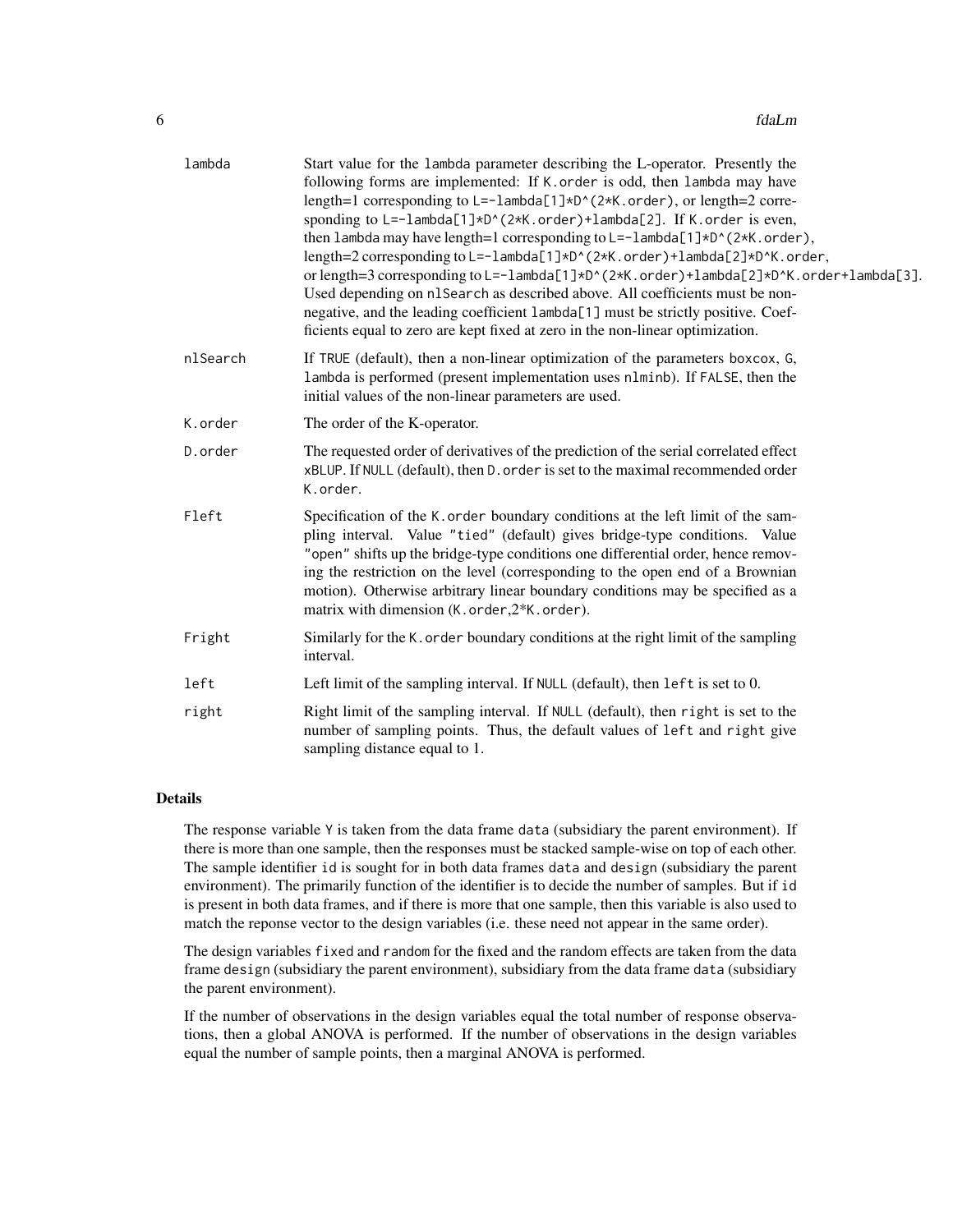| lambda   | Start value for the lambda parameter describing the L-operator. Presently the<br>following forms are implemented: If K. order is odd, then lambda may have<br>length=1 corresponding to L=-lambda[1]*D^(2*K.order), or length=2 corre-<br>sponding to L=-lambda[1]*D^(2*K.order)+lambda[2]. If K.order is even,<br>then lambda may have length=1 corresponding to L=-lambda[1]*D^(2*K.order),<br>length=2 corresponding to L=-1ambda[1]*D^(2*K.order)+1ambda[2]*D^K.order,<br>or length=3 corresponding to L=-1ambda[1]*D^(2*K.order)+1ambda[2]*D^K.order+1ambda[3].<br>Used depending on n1Search as described above. All coefficients must be non-<br>negative, and the leading coefficient lambda[1] must be strictly positive. Coef-<br>ficients equal to zero are kept fixed at zero in the non-linear optimization. |
|----------|---------------------------------------------------------------------------------------------------------------------------------------------------------------------------------------------------------------------------------------------------------------------------------------------------------------------------------------------------------------------------------------------------------------------------------------------------------------------------------------------------------------------------------------------------------------------------------------------------------------------------------------------------------------------------------------------------------------------------------------------------------------------------------------------------------------------------|
| nlSearch | If TRUE (default), then a non-linear optimization of the parameters boxcox, G,<br>lambda is performed (present implementation uses nlminb). If FALSE, then the<br>initial values of the non-linear parameters are used.                                                                                                                                                                                                                                                                                                                                                                                                                                                                                                                                                                                                   |
| K.order  | The order of the K-operator.                                                                                                                                                                                                                                                                                                                                                                                                                                                                                                                                                                                                                                                                                                                                                                                              |
| D.order  | The requested order of derivatives of the prediction of the serial correlated effect<br>xBLUP. If NULL (default), then D. order is set to the maximal recommended order<br>K.order.                                                                                                                                                                                                                                                                                                                                                                                                                                                                                                                                                                                                                                       |
| Fleft    | Specification of the K. order boundary conditions at the left limit of the sam-<br>pling interval. Value "tied" (default) gives bridge-type conditions. Value<br>"open" shifts up the bridge-type conditions one differential order, hence remov-<br>ing the restriction on the level (corresponding to the open end of a Brownian<br>motion). Otherwise arbitrary linear boundary conditions may be specified as a<br>matrix with dimension (K.order, 2*K.order).                                                                                                                                                                                                                                                                                                                                                        |
| Fright   | Similarly for the K. order boundary conditions at the right limit of the sampling<br>interval.                                                                                                                                                                                                                                                                                                                                                                                                                                                                                                                                                                                                                                                                                                                            |
| left     | Left limit of the sampling interval. If NULL (default), then left is set to 0.                                                                                                                                                                                                                                                                                                                                                                                                                                                                                                                                                                                                                                                                                                                                            |
| right    | Right limit of the sampling interval. If NULL (default), then right is set to the<br>number of sampling points. Thus, the default values of left and right give<br>sampling distance equal to 1.                                                                                                                                                                                                                                                                                                                                                                                                                                                                                                                                                                                                                          |

# Details

The response variable  $Y$  is taken from the data frame data (subsidiary the parent environment). If there is more than one sample, then the responses must be stacked sample-wise on top of each other. The sample identifier id is sought for in both data frames data and design (subsidiary the parent environment). The primarily function of the identifier is to decide the number of samples. But if id is present in both data frames, and if there is more that one sample, then this variable is also used to match the reponse vector to the design variables (i.e. these need not appear in the same order).

The design variables fixed and random for the fixed and the random effects are taken from the data frame design (subsidiary the parent environment), subsidiary from the data frame data (subsidiary the parent environment).

If the number of observations in the design variables equal the total number of response observations, then a global ANOVA is performed. If the number of observations in the design variables equal the number of sample points, then a marginal ANOVA is performed.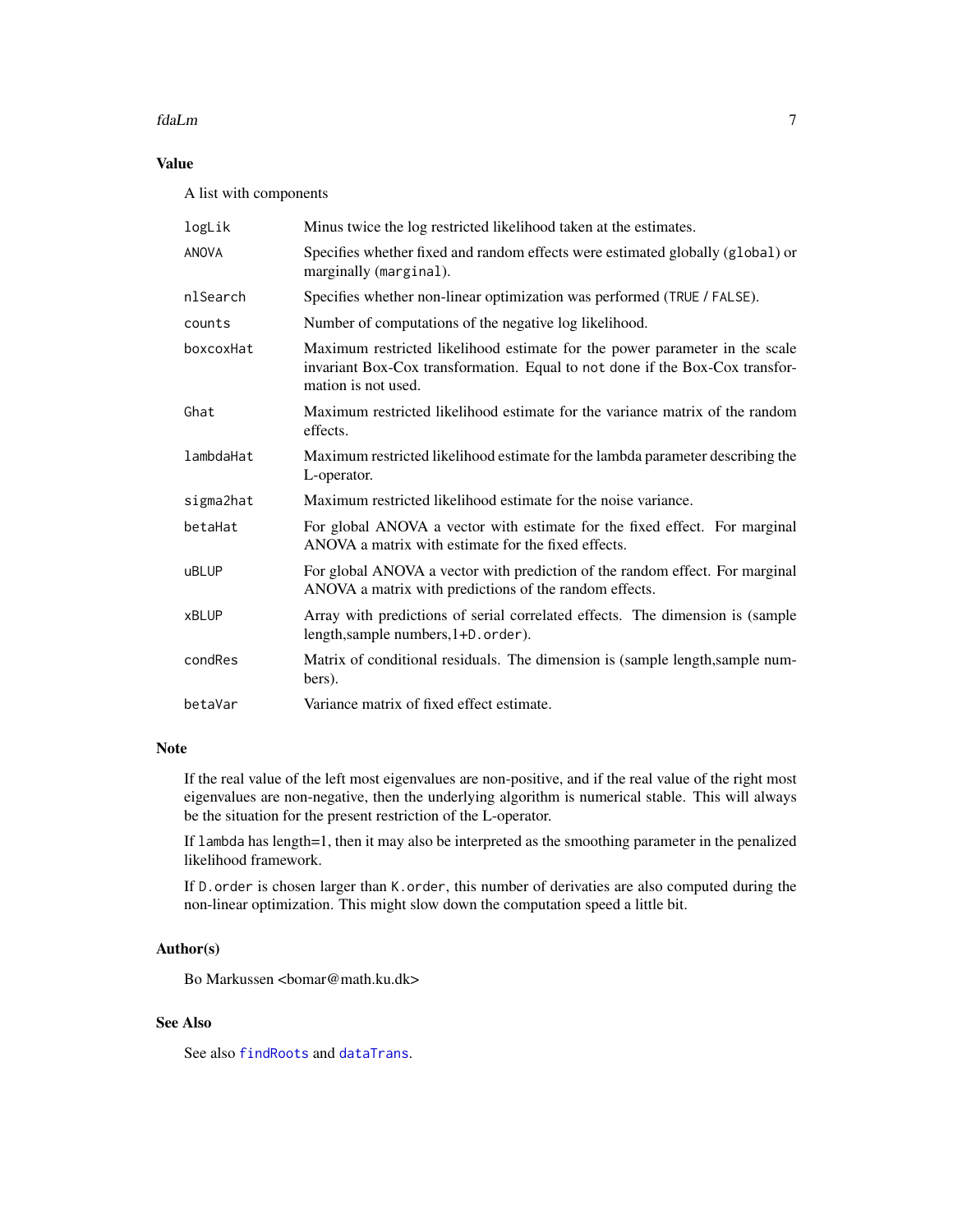#### <span id="page-6-0"></span>fdaLm 7

# Value

A list with components

| logLik       | Minus twice the log restricted likelihood taken at the estimates.                                                                                                                  |
|--------------|------------------------------------------------------------------------------------------------------------------------------------------------------------------------------------|
| <b>ANOVA</b> | Specifies whether fixed and random effects were estimated globally (global) or<br>marginally (marginal).                                                                           |
| nlSearch     | Specifies whether non-linear optimization was performed (TRUE / FALSE).                                                                                                            |
| counts       | Number of computations of the negative log likelihood.                                                                                                                             |
| boxcoxHat    | Maximum restricted likelihood estimate for the power parameter in the scale<br>invariant Box-Cox transformation. Equal to not done if the Box-Cox transfor-<br>mation is not used. |
| Ghat         | Maximum restricted likelihood estimate for the variance matrix of the random<br>effects.                                                                                           |
| lambdaHat    | Maximum restricted likelihood estimate for the lambda parameter describing the<br>L-operator.                                                                                      |
| sigma2hat    | Maximum restricted likelihood estimate for the noise variance.                                                                                                                     |
| betaHat      | For global ANOVA a vector with estimate for the fixed effect. For marginal<br>ANOVA a matrix with estimate for the fixed effects.                                                  |
| <b>uBLUP</b> | For global ANOVA a vector with prediction of the random effect. For marginal<br>ANOVA a matrix with predictions of the random effects.                                             |
| <b>xBLUP</b> | Array with predictions of serial correlated effects. The dimension is (sample<br>length, sample numbers, 1+D. order).                                                              |
| condRes      | Matrix of conditional residuals. The dimension is (sample length, sample num-<br>bers).                                                                                            |
| betaVar      | Variance matrix of fixed effect estimate.                                                                                                                                          |

# Note

If the real value of the left most eigenvalues are non-positive, and if the real value of the right most eigenvalues are non-negative, then the underlying algorithm is numerical stable. This will always be the situation for the present restriction of the L-operator.

If lambda has length=1, then it may also be interpreted as the smoothing parameter in the penalized likelihood framework.

If D.order is chosen larger than K.order, this number of derivaties are also computed during the non-linear optimization. This might slow down the computation speed a little bit.

# Author(s)

Bo Markussen <br/>bomar@math.ku.dk>

# See Also

See also [findRoots](#page-7-1) and [dataTrans](#page-2-1).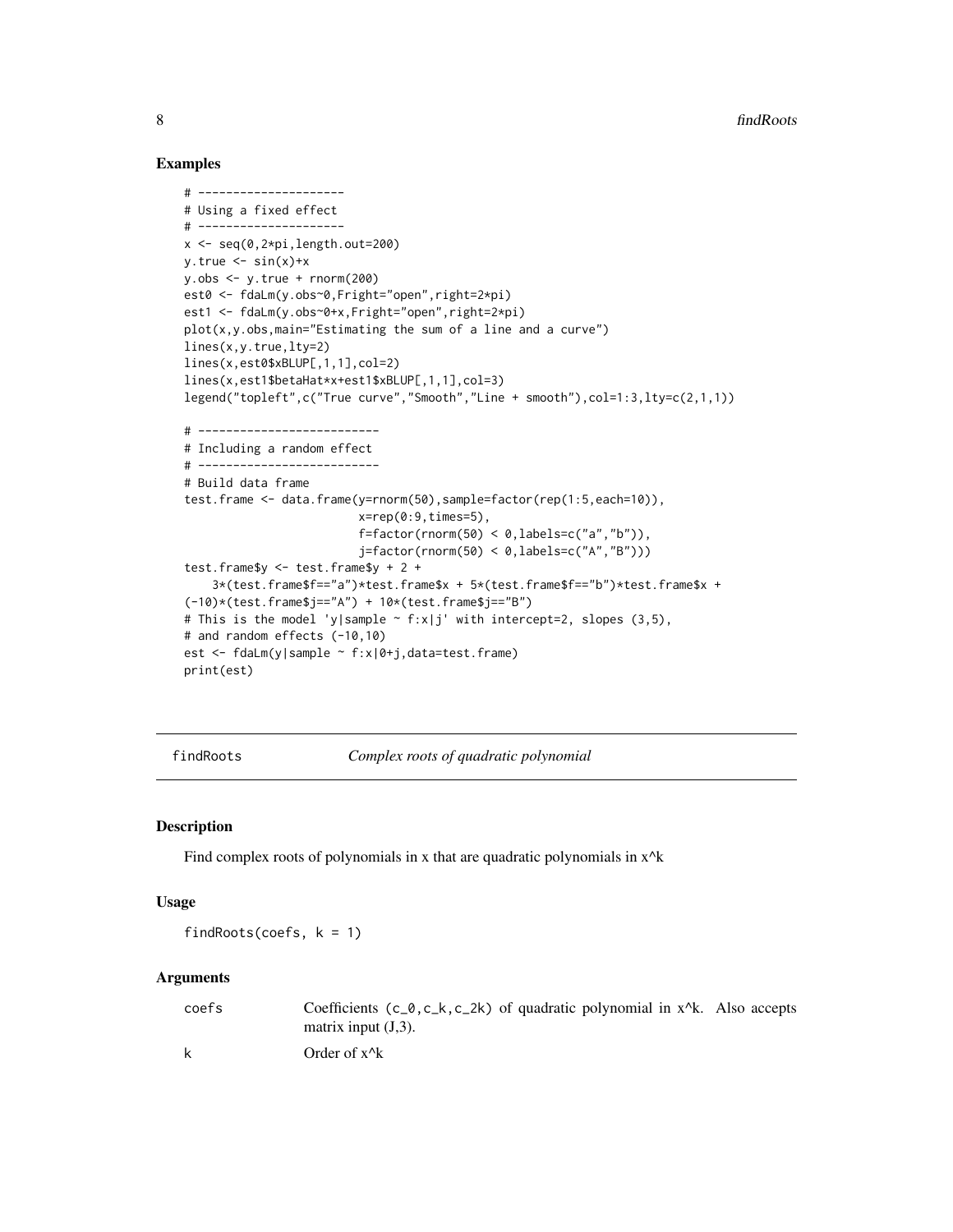# Examples

```
# ---------------------
# Using a fixed effect
# ---------------------
x <- seq(0,2*pi,length.out=200)
y.true \leq -\sin(x)+xy.obs < -y.true + rnorm(200)est0 <- fdaLm(y.obs~0,Fright="open",right=2*pi)
est1 <- fdaLm(y.obs~0+x, Fright="open", right=2*pi)
plot(x,y.obs,main="Estimating the sum of a line and a curve")
lines(x,y.true,lty=2)
lines(x,est0$xBLUP[,1,1],col=2)
lines(x,est1$betaHat*x+est1$xBLUP[,1,1],col=3)
legend("topleft",c("True curve","Smooth","Line + smooth"),col=1:3,lty=c(2,1,1))
# --------------------------
# Including a random effect
# --------------------------
# Build data frame
test.frame <- data.frame(y=rnorm(50),sample=factor(rep(1:5,each=10)),
                         x=rep(0:9, times=5),
                         f = factor(rnorm(50) < 0, \text{labels} = c("a", "b")),
                         j=factor(rnorm(50) < 0,labels=c("A","B")))
test.frame$y <- test.frame$y + 2 +
    3*(test.frame$f=="a")*test.frame$x + 5*(test.frame$f=="b")*test.frame$x +
(-10)*(test.frame$j=="A") + 10*(test.frame$j=="B")
# This is the model 'y|sample \sim f:x|j' with intercept=2, slopes (3,5),
# and random effects (-10,10)
est <- fdaLm(y|sample ~ f:x|0+j,data=test.frame)
print(est)
```
<span id="page-7-1"></span>findRoots *Complex roots of quadratic polynomial*

#### Description

Find complex roots of polynomials in x that are quadratic polynomials in  $x^k$ 

# Usage

findRoots(coefs,  $k = 1$ )

#### Arguments

| coefs | Coefficients $(c_0, c_k, c_2k)$ of quadratic polynomial in $x^k$ . Also accepts |
|-------|---------------------------------------------------------------------------------|
|       | matrix input $(J,3)$ .                                                          |
| k     | Order of $x^{\wedge}k$                                                          |

<span id="page-7-0"></span>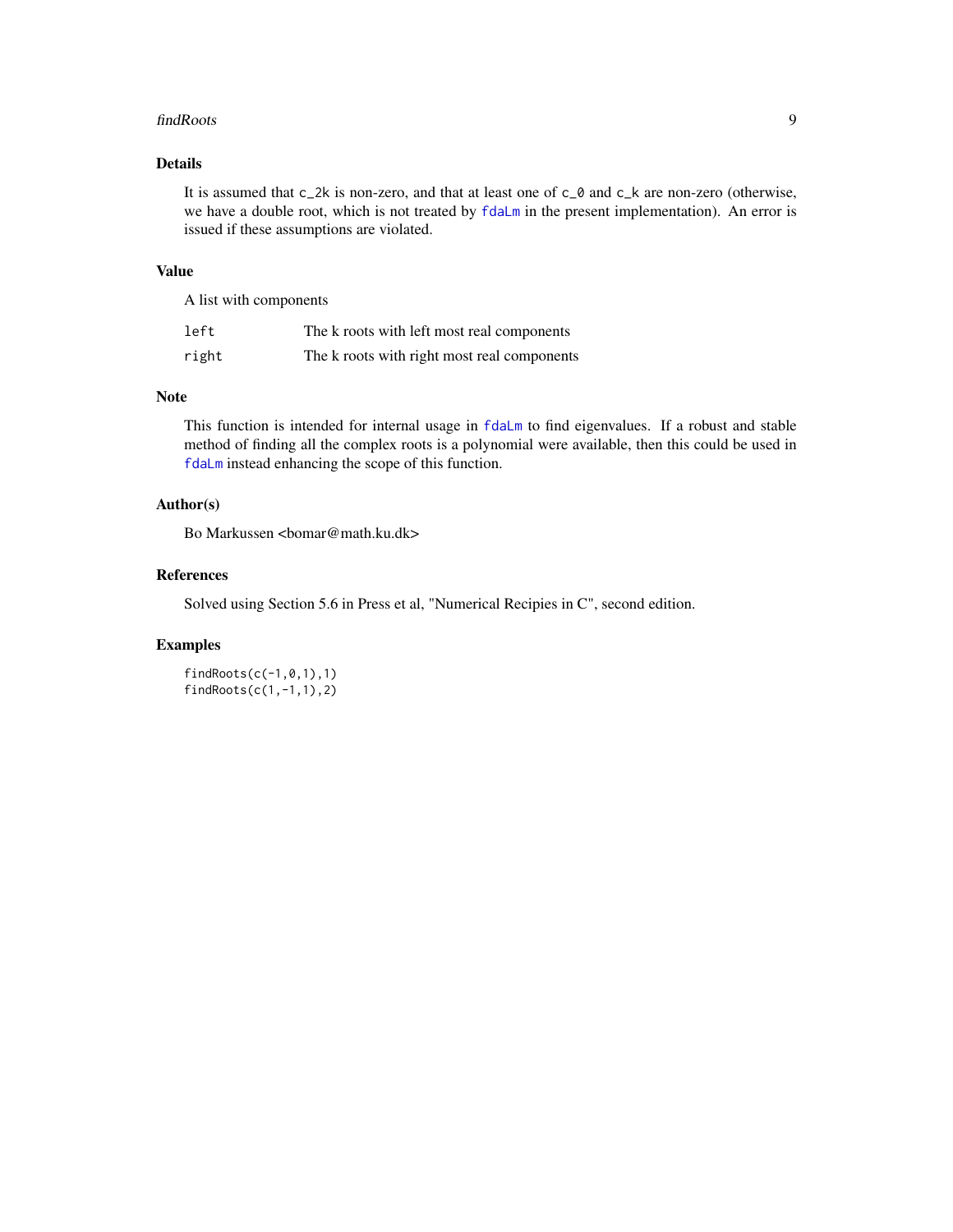#### <span id="page-8-0"></span>findRoots 9

# Details

It is assumed that  $c_2$ k is non-zero, and that at least one of  $c_0$  and  $c_k$  are non-zero (otherwise, we have a double root, which is not treated by  $fdal_m$  in the present implementation). An error is issued if these assumptions are violated.

#### Value

A list with components

| left  | The k roots with left most real components  |
|-------|---------------------------------------------|
| right | The k roots with right most real components |

### Note

This function is intended for internal usage in [fdaLm](#page-4-1) to find eigenvalues. If a robust and stable method of finding all the complex roots is a polynomial were available, then this could be used in [fdaLm](#page-4-1) instead enhancing the scope of this function.

# Author(s)

Bo Markussen <br/>bomar@math.ku.dk>

# References

Solved using Section 5.6 in Press et al, "Numerical Recipies in C", second edition.

#### Examples

findRoots(c(-1,0,1),1) findRoots(c(1,-1,1),2)